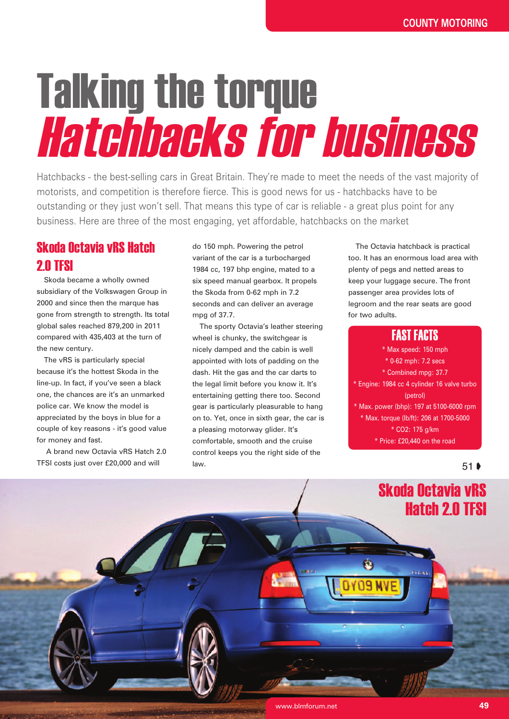# Talking the torque Hatchbacks for business

Hatchbacks - the best-selling cars in Great Britain. They're made to meet the needs of the vast majority of motorists, and competition is therefore fierce. This is good news for us - hatchbacks have to be outstanding or they just won't sell. That means this type of car is reliable - a great plus point for any business. Here are three of the most engaging, yet affordable, hatchbacks on the market

## Skoda Octavia vRS Hatch **2.0 TFSI**

Skoda became a wholly owned subsidiary of the Volkswagen Group in 2000 and since then the marque has gone from strength to strength. Its total global sales reached 879,200 in 2011 compared with 435,403 at the turn of the new century.

The vRS is particularly special because it's the hottest Skoda in the line-up. In fact, if you've seen a black one, the chances are it's an unmarked police car. We know the model is appreciated by the boys in blue for a couple of key reasons - it's good value for money and fast.

A brand new Octavia vRS Hatch 2.0 TFSI costs just over £20,000 and will

do 150 mph. Powering the petrol variant of the car is a turbocharged 1984 cc, 197 bhp engine, mated to a six speed manual gearbox. It propels the Skoda from 0-62 mph in 7.2 seconds and can deliver an average mpg of 37.7.

The sporty Octavia's leather steering wheel is chunky, the switchgear is nicely damped and the cabin is well appointed with lots of padding on the dash. Hit the gas and the car darts to the legal limit before you know it. It's entertaining getting there too. Second gear is particularly pleasurable to hang on to. Yet, once in sixth gear, the car is a pleasing motorway glider. It's comfortable, smooth and the cruise control keeps you the right side of the law.

The Octavia hatchback is practical too. It has an enormous load area with plenty of pegs and netted areas to keep your luggage secure. The front passenger area provides lots of legroom and the rear seats are good for two adults.

## FAST FACTS

\* Max speed: 150 mph

\* 0-62 mph: 7.2 secs \* Combined mpg: 37.7 \* Engine: 1984 cc 4 cylinder 16 valve turbo (petrol)

\* Max. power (bhp): 197 at 5100-6000 rpm \* Max. torque (lb/ft): 206 at 1700-5000 \* CO2: 175 g/km

\* Price: £20,440 on the road

۵

#### 51 ➧

## Skoda Octavia vRS Hatch 2.0 TFSI

**Please and**